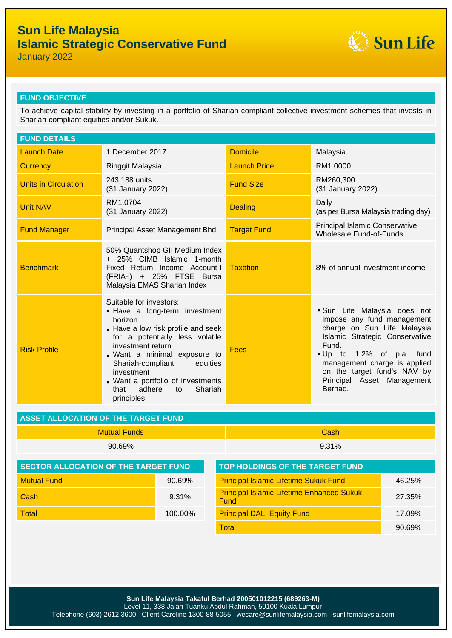# **Sun Life Malaysia Islamic Strategic Conservative Fund**



January 2022

#### **FUND OBJECTIVE**

To achieve capital stability by investing in a portfolio of Shariah-compliant collective investment schemes that invests in Shariah-compliant equities and/or Sukuk.

| <b>FUND DETAILS</b>                                                                   |                                                                                                                                                                                                                                                                                                                                      |                                                          |                                                                                                                                                                                                                                                                       |        |  |  |  |
|---------------------------------------------------------------------------------------|--------------------------------------------------------------------------------------------------------------------------------------------------------------------------------------------------------------------------------------------------------------------------------------------------------------------------------------|----------------------------------------------------------|-----------------------------------------------------------------------------------------------------------------------------------------------------------------------------------------------------------------------------------------------------------------------|--------|--|--|--|
| <b>Launch Date</b>                                                                    | 1 December 2017                                                                                                                                                                                                                                                                                                                      | <b>Domicile</b>                                          | Malaysia                                                                                                                                                                                                                                                              |        |  |  |  |
| <b>Currency</b>                                                                       | Ringgit Malaysia                                                                                                                                                                                                                                                                                                                     | <b>Launch Price</b>                                      | RM1.0000                                                                                                                                                                                                                                                              |        |  |  |  |
| <b>Units in Circulation</b>                                                           | 243,188 units<br>(31 January 2022)                                                                                                                                                                                                                                                                                                   | <b>Fund Size</b>                                         | RM260,300<br>(31 January 2022)                                                                                                                                                                                                                                        |        |  |  |  |
| <b>Unit NAV</b>                                                                       | RM1.0704<br>(31 January 2022)                                                                                                                                                                                                                                                                                                        | <b>Dealing</b>                                           | Daily<br>(as per Bursa Malaysia trading day)                                                                                                                                                                                                                          |        |  |  |  |
| <b>Fund Manager</b>                                                                   | Principal Asset Management Bhd                                                                                                                                                                                                                                                                                                       | <b>Target Fund</b>                                       | <b>Principal Islamic Conservative</b><br>Wholesale Fund-of-Funds                                                                                                                                                                                                      |        |  |  |  |
| <b>Benchmark</b>                                                                      | 50% Quantshop GII Medium Index<br>+ 25% CIMB Islamic 1-month<br>Fixed Return Income Account-I<br>(FRIA-i) + 25% FTSE Bursa<br>Malaysia EMAS Shariah Index                                                                                                                                                                            | <b>Taxation</b>                                          | 8% of annual investment income                                                                                                                                                                                                                                        |        |  |  |  |
| <b>Risk Profile</b>                                                                   | Suitable for investors:<br>. Have a long-term investment<br>horizon<br>Have a low risk profile and seek<br>for a potentially less volatile<br>investment return<br>. Want a minimal exposure to<br>Shariah-compliant<br>equities<br>investment<br>. Want a portfolio of investments<br>adhere<br>Shariah<br>that<br>to<br>principles | <b>Fees</b>                                              | Sun Life Malaysia does not<br>impose any fund management<br>charge on Sun Life Malaysia<br>Islamic Strategic Conservative<br>Fund.<br>Up to 1.2% of p.a. fund<br>management charge is applied<br>on the target fund's NAV by<br>Principal Asset Management<br>Berhad. |        |  |  |  |
| <b>ASSET ALLOCATION OF THE TARGET FUND</b>                                            |                                                                                                                                                                                                                                                                                                                                      |                                                          |                                                                                                                                                                                                                                                                       |        |  |  |  |
|                                                                                       | <b>Mutual Funds</b>                                                                                                                                                                                                                                                                                                                  | Cash                                                     |                                                                                                                                                                                                                                                                       |        |  |  |  |
|                                                                                       | 90.69%                                                                                                                                                                                                                                                                                                                               | 9.31%                                                    |                                                                                                                                                                                                                                                                       |        |  |  |  |
| <b>SECTOR ALLOCATION OF THE TARGET FUND</b><br><b>TOP HOLDINGS OF THE TARGET FUND</b> |                                                                                                                                                                                                                                                                                                                                      |                                                          |                                                                                                                                                                                                                                                                       |        |  |  |  |
| <b>Mutual Fund</b><br>90.69%                                                          |                                                                                                                                                                                                                                                                                                                                      |                                                          | <b>Principal Islamic Lifetime Sukuk Fund</b>                                                                                                                                                                                                                          |        |  |  |  |
| Cash<br>9.31%                                                                         |                                                                                                                                                                                                                                                                                                                                      | <b>Principal Islamic Lifetime Enhanced Sukuk</b><br>Fund | 27.35%                                                                                                                                                                                                                                                                |        |  |  |  |
| <b>Total</b><br>100.00%                                                               |                                                                                                                                                                                                                                                                                                                                      | <b>Principal DALI Equity Fund</b>                        | 17.09%                                                                                                                                                                                                                                                                |        |  |  |  |
|                                                                                       |                                                                                                                                                                                                                                                                                                                                      | <b>Total</b>                                             |                                                                                                                                                                                                                                                                       | 90.69% |  |  |  |
|                                                                                       |                                                                                                                                                                                                                                                                                                                                      |                                                          |                                                                                                                                                                                                                                                                       |        |  |  |  |

**Sun Life Malaysia Takaful Berhad 200501012215 (689263-M)**

Level 11, 338 Jalan Tuanku Abdul Rahman, 50100 Kuala Lumpur

Telephone (603) 2612 3600 Client Careline 1300-88-5055 wecare@sunlifemalaysia.com sunlifemalaysia.com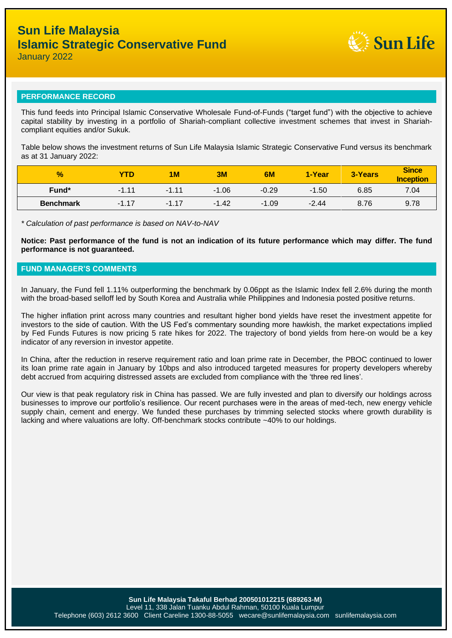

#### **PERFORMANCE RECORD**

This fund feeds into Principal Islamic Conservative Wholesale Fund-of-Funds ("target fund") with the objective to achieve capital stability by investing in a portfolio of Shariah-compliant collective investment schemes that invest in Shariahcompliant equities and/or Sukuk.

Table below shows the investment returns of Sun Life Malaysia Islamic Strategic Conservative Fund versus its benchmark as at 31 January 2022:

| $\frac{1}{2}$    | <b>YTD</b> | 1M      | 3M      | 6M      | 1-Year  | 3-Years | <b>Since</b><br><b>Inception</b> |
|------------------|------------|---------|---------|---------|---------|---------|----------------------------------|
| Fund*            | $-1.11$    | $-1.11$ | $-1.06$ | $-0.29$ | $-1.50$ | 6.85    | 7.04                             |
| <b>Benchmark</b> | $-1.17$    | $-1.17$ | $-1.42$ | $-1.09$ | $-2.44$ | 8.76    | 9.78                             |

*\* Calculation of past performance is based on NAV-to-NAV*

**Notice: Past performance of the fund is not an indication of its future performance which may differ. The fund performance is not guaranteed.**

#### **FUND MANAGER'S COMMENTS**

In January, the Fund fell 1.11% outperforming the benchmark by 0.06ppt as the Islamic Index fell 2.6% during the month with the broad-based selloff led by South Korea and Australia while Philippines and Indonesia posted positive returns.

The higher inflation print across many countries and resultant higher bond yields have reset the investment appetite for investors to the side of caution. With the US Fed's commentary sounding more hawkish, the market expectations implied by Fed Funds Futures is now pricing 5 rate hikes for 2022. The trajectory of bond yields from here-on would be a key indicator of any reversion in investor appetite.

In China, after the reduction in reserve requirement ratio and loan prime rate in December, the PBOC continued to lower its loan prime rate again in January by 10bps and also introduced targeted measures for property developers whereby debt accrued from acquiring distressed assets are excluded from compliance with the 'three red lines'.

Our view is that peak regulatory risk in China has passed. We are fully invested and plan to diversify our holdings across businesses to improve our portfolio's resilience. Our recent purchases were in the areas of med-tech, new energy vehicle supply chain, cement and energy. We funded these purchases by trimming selected stocks where growth durability is lacking and where valuations are lofty. Off-benchmark stocks contribute ~40% to our holdings.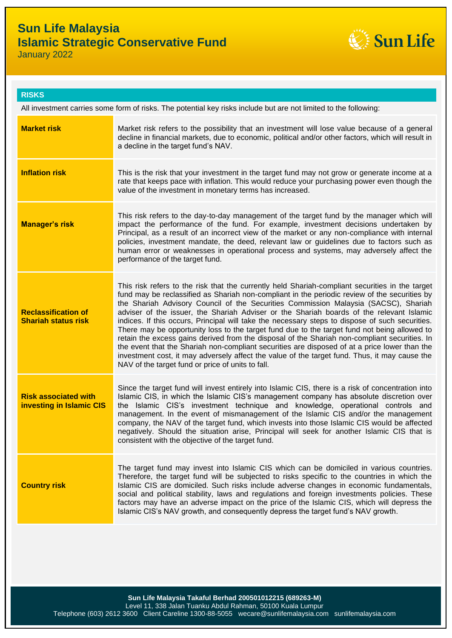

**RISKS**

All investment carries some form of risks. The potential key risks include but are not limited to the following:

| <b>Market risk</b>                                      | Market risk refers to the possibility that an investment will lose value because of a general<br>decline in financial markets, due to economic, political and/or other factors, which will result in<br>a decline in the target fund's NAV.                                                                                                                                                                                                                                                                                                                                                                                                                                                                                                                                                                                                                                                                                                    |
|---------------------------------------------------------|------------------------------------------------------------------------------------------------------------------------------------------------------------------------------------------------------------------------------------------------------------------------------------------------------------------------------------------------------------------------------------------------------------------------------------------------------------------------------------------------------------------------------------------------------------------------------------------------------------------------------------------------------------------------------------------------------------------------------------------------------------------------------------------------------------------------------------------------------------------------------------------------------------------------------------------------|
| <b>Inflation risk</b>                                   | This is the risk that your investment in the target fund may not grow or generate income at a<br>rate that keeps pace with inflation. This would reduce your purchasing power even though the<br>value of the investment in monetary terms has increased.                                                                                                                                                                                                                                                                                                                                                                                                                                                                                                                                                                                                                                                                                      |
| <b>Manager's risk</b>                                   | This risk refers to the day-to-day management of the target fund by the manager which will<br>impact the performance of the fund. For example, investment decisions undertaken by<br>Principal, as a result of an incorrect view of the market or any non-compliance with internal<br>policies, investment mandate, the deed, relevant law or guidelines due to factors such as<br>human error or weaknesses in operational process and systems, may adversely affect the<br>performance of the target fund.                                                                                                                                                                                                                                                                                                                                                                                                                                   |
| <b>Reclassification of</b><br>Shariah status risk       | This risk refers to the risk that the currently held Shariah-compliant securities in the target<br>fund may be reclassified as Shariah non-compliant in the periodic review of the securities by<br>the Shariah Advisory Council of the Securities Commission Malaysia (SACSC), Shariah<br>adviser of the issuer, the Shariah Adviser or the Shariah boards of the relevant Islamic<br>indices. If this occurs, Principal will take the necessary steps to dispose of such securities.<br>There may be opportunity loss to the target fund due to the target fund not being allowed to<br>retain the excess gains derived from the disposal of the Shariah non-compliant securities. In<br>the event that the Shariah non-compliant securities are disposed of at a price lower than the<br>investment cost, it may adversely affect the value of the target fund. Thus, it may cause the<br>NAV of the target fund or price of units to fall. |
| <b>Risk associated with</b><br>investing in Islamic CIS | Since the target fund will invest entirely into Islamic CIS, there is a risk of concentration into<br>Islamic CIS, in which the Islamic CIS's management company has absolute discretion over<br>the Islamic CIS's investment technique and knowledge, operational controls and<br>management. In the event of mismanagement of the Islamic CIS and/or the management<br>company, the NAV of the target fund, which invests into those Islamic CIS would be affected<br>negatively. Should the situation arise, Principal will seek for another Islamic CIS that is<br>consistent with the objective of the target fund.                                                                                                                                                                                                                                                                                                                       |
| <b>Country risk</b>                                     | The target fund may invest into Islamic CIS which can be domiciled in various countries.<br>Therefore, the target fund will be subjected to risks specific to the countries in which the<br>Islamic CIS are domiciled. Such risks include adverse changes in economic fundamentals,<br>social and political stability, laws and regulations and foreign investments policies. These<br>factors may have an adverse impact on the price of the Islamic CIS, which will depress the<br>Islamic CIS's NAV growth, and consequently depress the target fund's NAV growth.                                                                                                                                                                                                                                                                                                                                                                          |